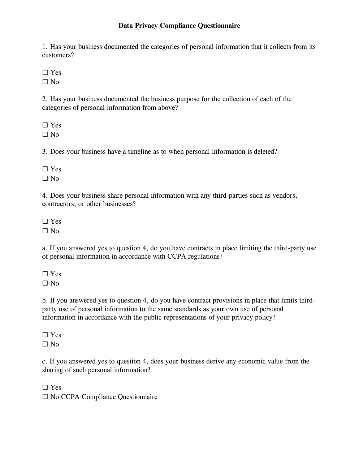## **Data Privacy Compliance Questionnaire**

1. Has your business documented the categories of personal information that it collects from its customers?

☐ Yes

 $\square$  No

2. Has your business documented the business purpose for the collection of each of the categories of personal information from above?

☐ Yes

 $\Box$  No

3. Does your business have a timeline as to when personal information is deleted?

☐ Yes

 $\square$  No

4. Does your business share personal information with any third-parties such as vendors, contractors, or other businesses?

☐ Yes

 $\square$  No

a. If you answered yes to question 4, do you have contracts in place limiting the third-party use of personal information in accordance with CCPA regulations?

☐ Yes  $\Box$  No

b. If you answered yes to question 4, do you have contract provisions in place that limits thirdparty use of personal information to the same standards as your own use of personal information in accordance with the public representations of your privacy policy?

☐ Yes  $\square$  No

c. If you answered yes to question 4, does your business derive any economic value from the sharing of such personal information?

☐ Yes

☐ No CCPA Compliance Questionnaire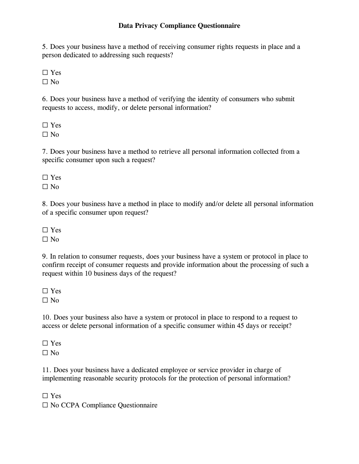## **Data Privacy Compliance Questionnaire**

5. Does your business have a method of receiving consumer rights requests in place and a person dedicated to addressing such requests?

☐ Yes

 $\square$  No

6. Does your business have a method of verifying the identity of consumers who submit requests to access, modify, or delete personal information?

☐ Yes

 $\Box$  No

7. Does your business have a method to retrieve all personal information collected from a specific consumer upon such a request?

☐ Yes

 $\square$  No

8. Does your business have a method in place to modify and/or delete all personal information of a specific consumer upon request?

☐ Yes  $\square$  No

9. In relation to consumer requests, does your business have a system or protocol in place to confirm receipt of consumer requests and provide information about the processing of such a request within 10 business days of the request?

☐ Yes

 $\square$  No

10. Does your business also have a system or protocol in place to respond to a request to access or delete personal information of a specific consumer within 45 days or receipt?

☐ Yes  $\Box$  No

11. Does your business have a dedicated employee or service provider in charge of implementing reasonable security protocols for the protection of personal information?

☐ Yes

☐ No CCPA Compliance Questionnaire